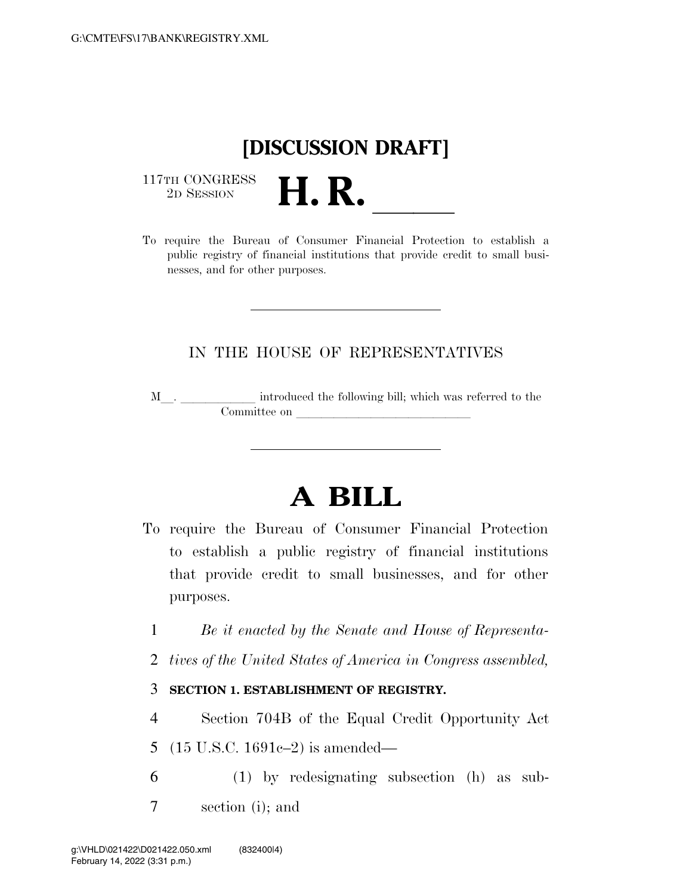## **[DISCUSSION DRAFT]**

 $\begin{array}{c} \text{117TH CONGRESS} \\ \text{2D Session} \end{array}$ 



## IN THE HOUSE OF REPRESENTATIVES

M<sub>\_\_\_</sub>. \_\_\_\_\_\_\_\_\_\_\_\_\_ introduced the following bill; which was referred to the  $\mathop{\mathrm{Commuttee}}$  on  $\qquad \qquad \overbrace{\phantom{ \mathcal{L}(\mathcal{L}(\mathcal{L})\oplus \mathcal{L}(\mathcal{L}(\mathcal{L}))\oplus \mathcal{L}(\mathcal{L}(\mathcal{L}(\mathcal{L}))\oplus \mathcal{L}(\mathcal{L}(\mathcal{L}(\mathcal{L}(\mathcal{L}(\mathcal{L}(\mathcal{L}(\mathcal{L}(\mathcal{L}(\mathcal{L}(\mathcal{L}(\mathcal{L}(\mathcal{L}(\mathcal{L}(\mathcal{L}(\mathcal{L}(\mathcal{L}(\mathcal{L}(\mathcal{L}(\mathcal{L}(\$ 

## **A BILL**

- To require the Bureau of Consumer Financial Protection to establish a public registry of financial institutions that provide credit to small businesses, and for other purposes.
	- 1 *Be it enacted by the Senate and House of Representa-*
	- 2 *tives of the United States of America in Congress assembled,*

## 3 **SECTION 1. ESTABLISHMENT OF REGISTRY.**

- 4 Section 704B of the Equal Credit Opportunity Act 5 (15 U.S.C. 1691c–2) is amended—
- 6 (1) by redesignating subsection (h) as sub-7 section (i); and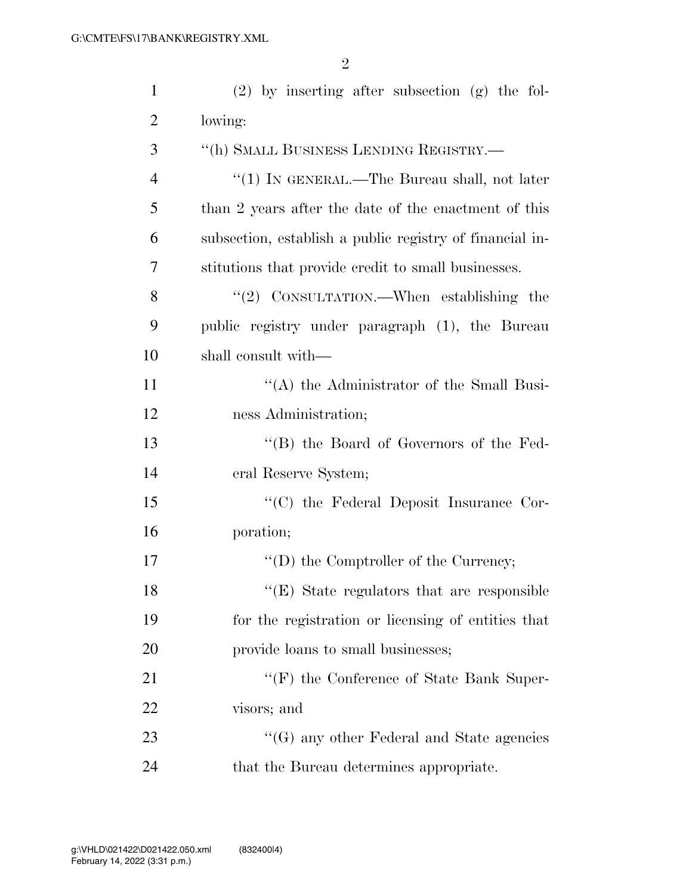| $\mathbf{1}$   | $(2)$ by inserting after subsection $(g)$ the fol-       |
|----------------|----------------------------------------------------------|
| $\overline{2}$ | lowing:                                                  |
| 3              | "(h) SMALL BUSINESS LENDING REGISTRY.—                   |
| $\overline{4}$ | "(1) IN GENERAL.—The Bureau shall, not later             |
| 5              | than 2 years after the date of the enactment of this     |
| 6              | subsection, establish a public registry of financial in- |
| 7              | stitutions that provide credit to small businesses.      |
| 8              | "(2) CONSULTATION.—When establishing the                 |
| 9              | public registry under paragraph (1), the Bureau          |
| 10             | shall consult with—                                      |
| 11             | "(A) the Administrator of the Small Busi-                |
| 12             | ness Administration;                                     |
| 13             | "(B) the Board of Governors of the Fed-                  |
| 14             | eral Reserve System;                                     |
| 15             | "(C) the Federal Deposit Insurance Cor-                  |
| 16             | poration;                                                |
| 17             | "(D) the Comptroller of the Currency;                    |
| 18             | $\lq\lq(E)$ State regulators that are responsible        |
| 19             | for the registration or licensing of entities that       |
| 20             | provide loans to small businesses;                       |
| 21             | $\lq\lq(F)$ the Conference of State Bank Super-          |
| 22             | visors; and                                              |
| 23             | $\lq\lq(G)$ any other Federal and State agencies         |
| 24             | that the Bureau determines appropriate.                  |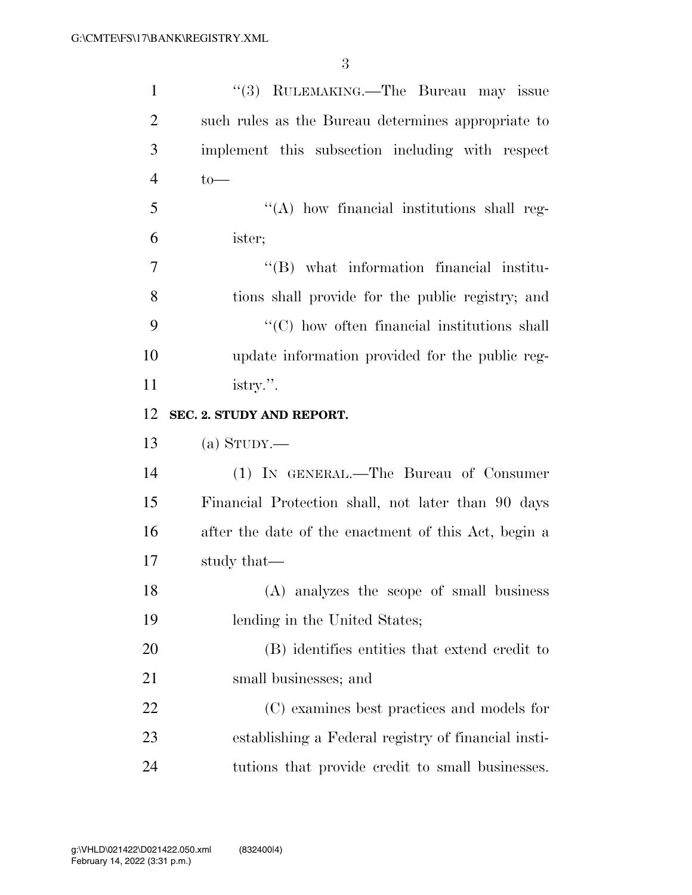| $\mathbf{1}$   | "(3) RULEMAKING.—The Bureau may issue                |
|----------------|------------------------------------------------------|
| $\overline{2}$ | such rules as the Bureau determines appropriate to   |
| 3              | implement this subsection including with respect     |
| $\overline{4}$ | $to-$                                                |
| 5              | "(A) how financial institutions shall reg-           |
| 6              | ister;                                               |
| 7              | "(B) what information financial institu-             |
| 8              | tions shall provide for the public registry; and     |
| 9              | $\lq\lq$ (C) how often financial institutions shall  |
| 10             | update information provided for the public reg-      |
| 11             | istry.".                                             |
| 12             | SEC. 2. STUDY AND REPORT.                            |
|                |                                                      |
| 13             | (a) STUDY.—                                          |
| 14             | (1) IN GENERAL.—The Bureau of Consumer               |
| 15             | Financial Protection shall, not later than 90 days   |
| 16             | after the date of the enactment of this Act, begin a |
| 17             | study that—                                          |
| 18             | (A) analyzes the scope of small business             |
| 19             | lending in the United States;                        |
| 20             | (B) identifies entities that extend credit to        |
| 21             | small businesses; and                                |
| 22             | (C) examines best practices and models for           |
| 23             | establishing a Federal registry of financial insti-  |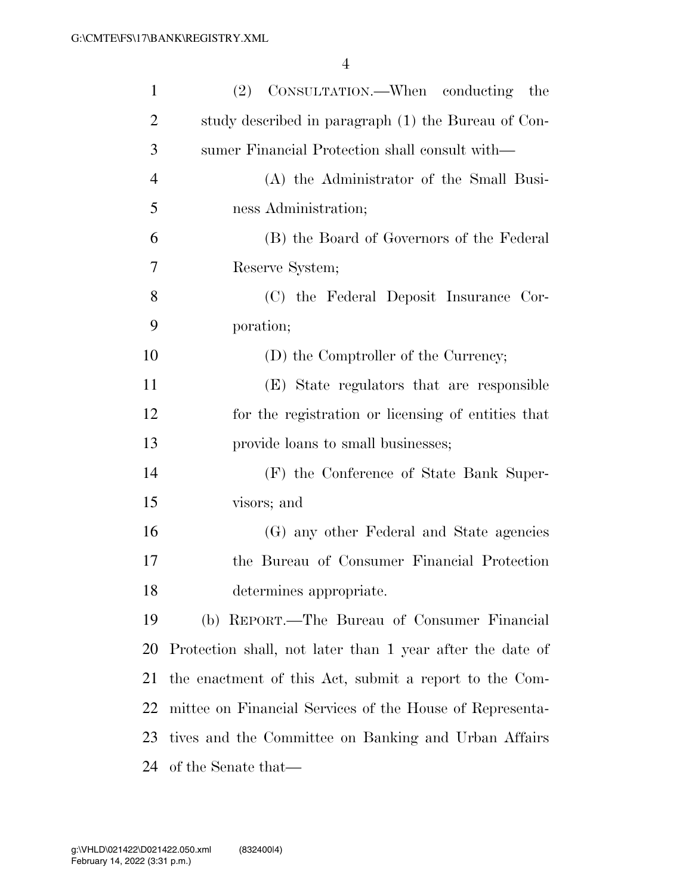| $\mathbf{1}$   | (2) CONSULTATION.—When conducting the                     |
|----------------|-----------------------------------------------------------|
| $\overline{2}$ | study described in paragraph (1) the Bureau of Con-       |
| 3              | sumer Financial Protection shall consult with—            |
| $\overline{4}$ | (A) the Administrator of the Small Busi-                  |
| 5              | ness Administration;                                      |
| 6              | (B) the Board of Governors of the Federal                 |
| 7              | Reserve System;                                           |
| 8              | (C) the Federal Deposit Insurance Cor-                    |
| 9              | poration;                                                 |
| 10             | (D) the Comptroller of the Currency;                      |
| 11             | (E) State regulators that are responsible                 |
| 12             | for the registration or licensing of entities that        |
| 13             | provide loans to small businesses;                        |
| 14             | (F) the Conference of State Bank Super-                   |
| 15             | visors; and                                               |
| 16             | (G) any other Federal and State agencies                  |
| 17             | the Bureau of Consumer Financial Protection               |
| 18             | determines appropriate.                                   |
| 19             | (b) REPORT.—The Bureau of Consumer Financial              |
| 20             | Protection shall, not later than 1 year after the date of |
| 21             | the enactment of this Act, submit a report to the Com-    |
| 22             | mittee on Financial Services of the House of Representa-  |
| 23             | tives and the Committee on Banking and Urban Affairs      |
| 24             | of the Senate that—                                       |